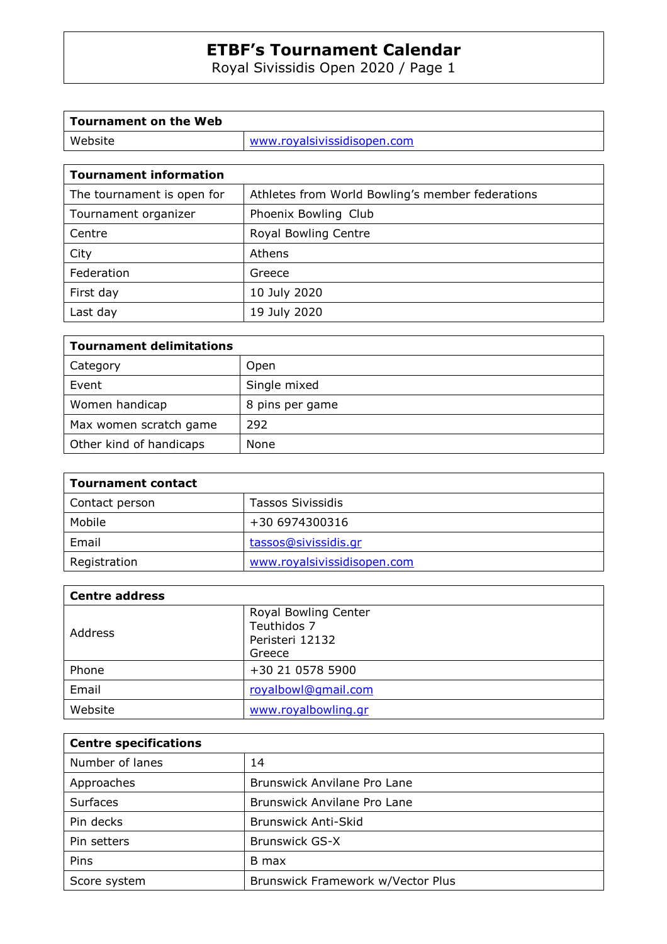Royal Sivissidis Open 2020 / Page 1

| Tournament on the Web |                             |
|-----------------------|-----------------------------|
| Website               | www.royalsivissidisopen.com |
|                       |                             |

٦

 $\mathsf{r}$ 

| <b>Tournament information</b> |                                                  |  |  |  |
|-------------------------------|--------------------------------------------------|--|--|--|
| The tournament is open for    | Athletes from World Bowling's member federations |  |  |  |
| Tournament organizer          | Phoenix Bowling Club                             |  |  |  |
| Centre                        | Royal Bowling Centre                             |  |  |  |
| City                          | Athens                                           |  |  |  |
| Federation                    | Greece                                           |  |  |  |
| First day                     | 10 July 2020                                     |  |  |  |
| Last day                      | 19 July 2020                                     |  |  |  |

| <b>Tournament delimitations</b> |                 |
|---------------------------------|-----------------|
| Category                        | Open            |
| Event                           | Single mixed    |
| Women handicap                  | 8 pins per game |
| Max women scratch game          | 292             |
| Other kind of handicaps         | None            |

| <b>Tournament contact</b> |                             |  |  |
|---------------------------|-----------------------------|--|--|
| Contact person            | Tassos Sivissidis           |  |  |
| Mobile                    | +30 6974300316              |  |  |
| Email                     | tassos@sivissidis.gr        |  |  |
| Registration              | www.royalsivissidisopen.com |  |  |

| <b>Centre address</b> |                                                                  |  |  |
|-----------------------|------------------------------------------------------------------|--|--|
| Address               | Royal Bowling Center<br>Teuthidos 7<br>Peristeri 12132<br>Greece |  |  |
| Phone                 | +30 21 0578 5900                                                 |  |  |
| Email                 | royalbowl@gmail.com                                              |  |  |
| Website               | www.royalbowling.gr                                              |  |  |

| <b>Centre specifications</b> |                                   |  |  |
|------------------------------|-----------------------------------|--|--|
| Number of lanes              | 14                                |  |  |
| Approaches                   | Brunswick Anvilane Pro Lane       |  |  |
| Surfaces                     | Brunswick Anvilane Pro Lane       |  |  |
| Pin decks                    | <b>Brunswick Anti-Skid</b>        |  |  |
| Pin setters                  | <b>Brunswick GS-X</b>             |  |  |
| Pins                         | B max                             |  |  |
| Score system                 | Brunswick Framework w/Vector Plus |  |  |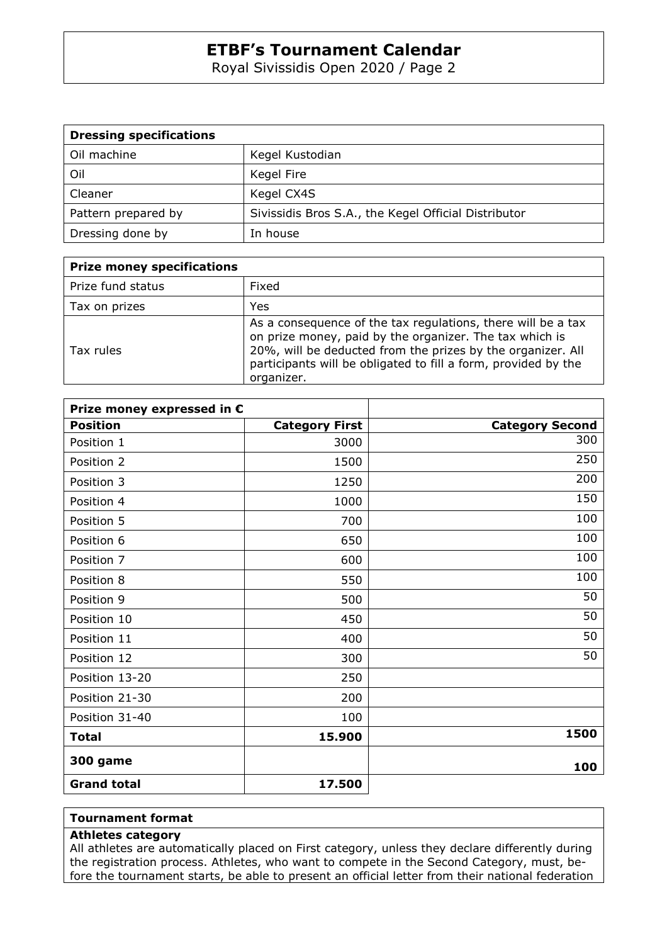Royal Sivissidis Open 2020 / Page 2

| <b>Dressing specifications</b> |                                                      |
|--------------------------------|------------------------------------------------------|
| Oil machine                    | Kegel Kustodian                                      |
| Oil                            | Kegel Fire                                           |
| Cleaner                        | Kegel CX4S                                           |
| Pattern prepared by            | Sivissidis Bros S.A., the Kegel Official Distributor |
| Dressing done by               | In house                                             |

| <b>Prize money specifications</b> |                                                                                                                                                                                                                                                                        |
|-----------------------------------|------------------------------------------------------------------------------------------------------------------------------------------------------------------------------------------------------------------------------------------------------------------------|
| Prize fund status                 | Fixed                                                                                                                                                                                                                                                                  |
| Tax on prizes                     | Yes                                                                                                                                                                                                                                                                    |
| Tax rules                         | As a consequence of the tax regulations, there will be a tax<br>on prize money, paid by the organizer. The tax which is<br>20%, will be deducted from the prizes by the organizer. All<br>participants will be obligated to fill a form, provided by the<br>organizer. |

| Prize money expressed in € |                       |                        |
|----------------------------|-----------------------|------------------------|
| <b>Position</b>            | <b>Category First</b> | <b>Category Second</b> |
| Position 1                 | 3000                  | 300                    |
| Position 2                 | 1500                  | 250                    |
| Position 3                 | 1250                  | 200                    |
| Position 4                 | 1000                  | 150                    |
| Position 5                 | 700                   | 100                    |
| Position 6                 | 650                   | 100                    |
| Position 7                 | 600                   | 100                    |
| Position 8                 | 550                   | 100                    |
| Position 9                 | 500                   | 50                     |
| Position 10                | 450                   | 50                     |
| Position 11                | 400                   | 50                     |
| Position 12                | 300                   | 50                     |
| Position 13-20             | 250                   |                        |
| Position 21-30             | 200                   |                        |
| Position 31-40             | 100                   |                        |
| <b>Total</b>               | 15.900                | 1500                   |
| <b>300 game</b>            |                       | 100                    |
| <b>Grand total</b>         | 17.500                |                        |

#### **Tournament format**

#### **Athletes category**

All athletes are automatically placed on First category, unless they declare differently during the registration process. Athletes, who want to compete in the Second Category, must, before the tournament starts, be able to present an official letter from their national federation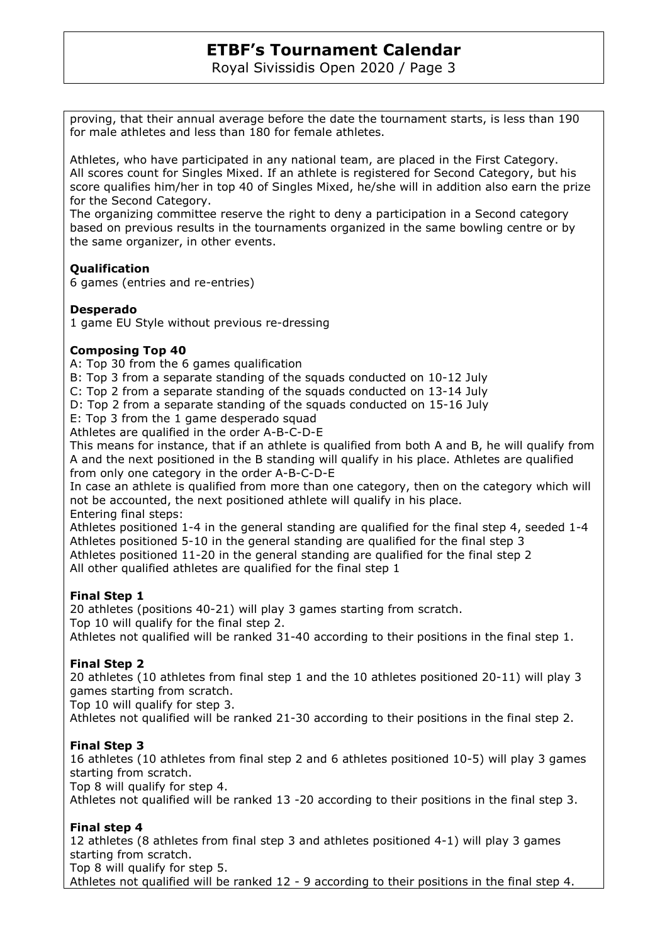Royal Sivissidis Open 2020 / Page 3

proving, that their annual average before the date the tournament starts, is less than 190 for male athletes and less than 180 for female athletes.

Athletes, who have participated in any national team, are placed in the First Category. All scores count for Singles Mixed. If an athlete is registered for Second Category, but his score qualifies him/her in top 40 of Singles Mixed, he/she will in addition also earn the prize for the Second Category.

The organizing committee reserve the right to deny a participation in a Second category based on previous results in the tournaments organized in the same bowling centre or by the same organizer, in other events.

### **Qualification**

6 games (entries and re-entries)

#### **Desperado**

1 game EU Style without previous re-dressing

#### **Composing Top 40**

A: Top 30 from the 6 games qualification

B: Top 3 from a separate standing of the squads conducted on 10-12 July

C: Top 2 from a separate standing of the squads conducted on 13-14 July

D: Top 2 from a separate standing of the squads conducted on 15-16 July

E: Top 3 from the 1 game desperado squad

Athletes are qualified in the order A-B-C-D-E

This means for instance, that if an athlete is qualified from both A and B, he will qualify from A and the next positioned in the B standing will qualify in his place. Athletes are qualified from only one category in the order A-B-C-D-E

In case an athlete is qualified from more than one category, then on the category which will not be accounted, the next positioned athlete will qualify in his place. Entering final steps:

Athletes positioned 1-4 in the general standing are qualified for the final step 4, seeded 1-4 Athletes positioned 5-10 in the general standing are qualified for the final step 3 Athletes positioned 11-20 in the general standing are qualified for the final step 2 All other qualified athletes are qualified for the final step 1

#### **Final Step 1**

20 athletes (positions 40-21) will play 3 games starting from scratch. Top 10 will qualify for the final step 2. Athletes not qualified will be ranked 31-40 according to their positions in the final step 1.

### **Final Step 2**

20 athletes (10 athletes from final step 1 and the 10 athletes positioned 20-11) will play 3 games starting from scratch.

Top 10 will qualify for step 3.

Athletes not qualified will be ranked 21-30 according to their positions in the final step 2.

#### **Final Step 3**

16 athletes (10 athletes from final step 2 and 6 athletes positioned 10-5) will play 3 games starting from scratch.

Top 8 will qualify for step 4.

Athletes not qualified will be ranked 13 -20 according to their positions in the final step 3.

### **Final step 4**

12 athletes (8 athletes from final step 3 and athletes positioned 4-1) will play 3 games starting from scratch.

Top 8 will qualify for step 5.

Athletes not qualified will be ranked 12 - 9 according to their positions in the final step 4.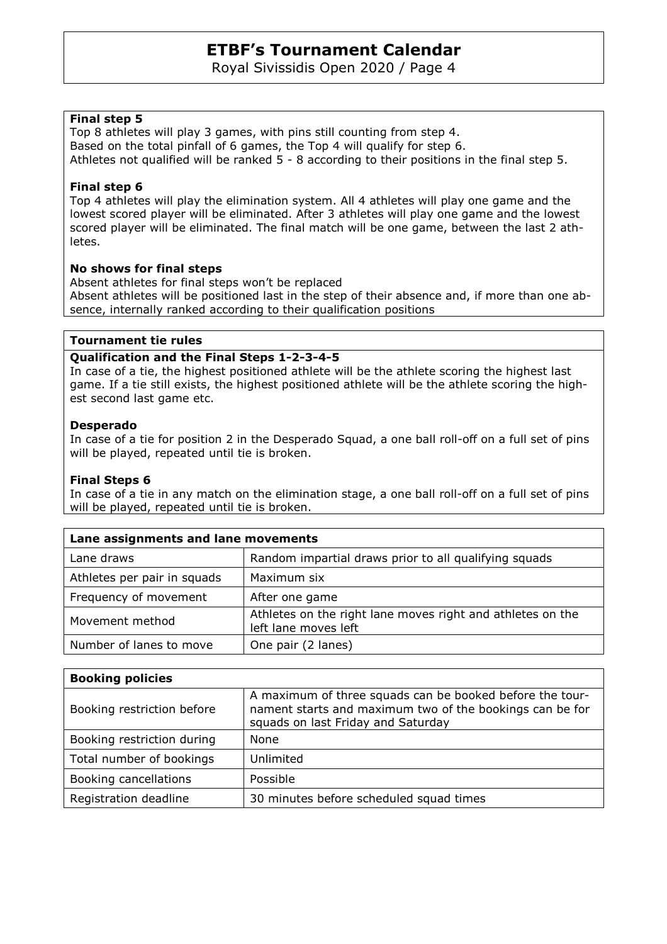Royal Sivissidis Open 2020 / Page 4

#### **Final step 5**

Top 8 athletes will play 3 games, with pins still counting from step 4. Based on the total pinfall of 6 games, the Top 4 will qualify for step 6. Athletes not qualified will be ranked 5 - 8 according to their positions in the final step 5.

#### **Final step 6**

Top 4 athletes will play the elimination system. All 4 athletes will play one game and the lowest scored player will be eliminated. After 3 athletes will play one game and the lowest scored player will be eliminated. The final match will be one game, between the last 2 athletes.

#### **No shows for final steps**

Absent athletes for final steps won't be replaced Absent athletes will be positioned last in the step of their absence and, if more than one absence, internally ranked according to their qualification positions

#### **Tournament tie rules**

#### **Qualification and the Final Steps 1-2-3-4-5**

In case of a tie, the highest positioned athlete will be the athlete scoring the highest last game. If a tie still exists, the highest positioned athlete will be the athlete scoring the highest second last game etc.

#### **Desperado**

In case of a tie for position 2 in the Desperado Squad, a one ball roll-off on a full set of pins will be played, repeated until tie is broken.

#### **Final Steps 6**

In case of a tie in any match on the elimination stage, a one ball roll-off on a full set of pins will be played, repeated until tie is broken.

| Lane assignments and lane movements |                                                                                    |  |  |
|-------------------------------------|------------------------------------------------------------------------------------|--|--|
| Lane draws                          | Random impartial draws prior to all qualifying squads                              |  |  |
| Athletes per pair in squads         | Maximum six                                                                        |  |  |
| Frequency of movement               | After one game                                                                     |  |  |
| Movement method                     | Athletes on the right lane moves right and athletes on the<br>left lane moves left |  |  |
| Number of lanes to move             | One pair (2 lanes)                                                                 |  |  |

| <b>Booking policies</b>    |                                                                                                                                                            |
|----------------------------|------------------------------------------------------------------------------------------------------------------------------------------------------------|
| Booking restriction before | A maximum of three squads can be booked before the tour-<br>nament starts and maximum two of the bookings can be for<br>squads on last Friday and Saturday |
| Booking restriction during | None                                                                                                                                                       |
| Total number of bookings   | Unlimited                                                                                                                                                  |
| Booking cancellations      | Possible                                                                                                                                                   |
| Registration deadline      | 30 minutes before scheduled squad times                                                                                                                    |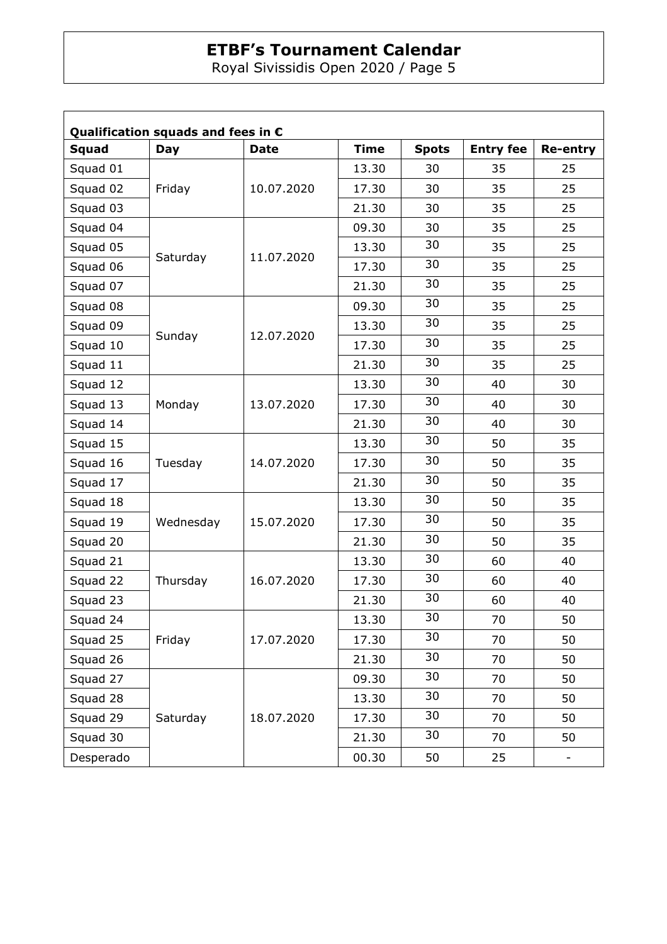Royal Sivissidis Open 2020 / Page 5

| <b>Squad</b> | <b>Day</b> | <b>Date</b> | <b>Time</b> | <b>Spots</b> | <b>Entry fee</b> | Re-entry |
|--------------|------------|-------------|-------------|--------------|------------------|----------|
| Squad 01     | Friday     |             | 13.30       | 30           | 35               | 25       |
| Squad 02     |            | 10.07.2020  | 17.30       | 30           | 35               | 25       |
| Squad 03     |            |             | 21.30       | 30           | 35               | 25       |
| Squad 04     |            |             | 09.30       | 30           | 35               | 25       |
| Squad 05     |            |             | 13.30       | 30           | 35               | 25       |
| Squad 06     | Saturday   | 11.07.2020  | 17.30       | 30           | 35               | 25       |
| Squad 07     |            |             | 21.30       | 30           | 35               | 25       |
| Squad 08     |            |             | 09.30       | 30           | 35               | 25       |
| Squad 09     |            | 12.07.2020  | 13.30       | 30           | 35               | 25       |
| Squad 10     | Sunday     |             | 17.30       | 30           | 35               | 25       |
| Squad 11     |            |             | 21.30       | 30           | 35               | 25       |
| Squad 12     |            |             | 13.30       | 30           | 40               | 30       |
| Squad 13     | Monday     | 13.07.2020  | 17.30       | 30           | 40               | 30       |
| Squad 14     |            |             | 21.30       | 30           | 40               | 30       |
| Squad 15     |            |             | 13.30       | 30           | 50               | 35       |
| Squad 16     | Tuesday    | 14.07.2020  | 17.30       | 30           | 50               | 35       |
| Squad 17     |            |             | 21.30       | 30           | 50               | 35       |
| Squad 18     |            |             | 13.30       | 30           | 50               | 35       |
| Squad 19     | Wednesday  | 15.07.2020  | 17.30       | 30           | 50               | 35       |
| Squad 20     |            |             | 21.30       | 30           | 50               | 35       |
| Squad 21     |            |             | 13.30       | 30           | 60               | 40       |
| Squad 22     | Thursday   | 16.07.2020  | 17.30       | 30           | 60               | 40       |
| Squad 23     |            |             | 21.30       | 30           | 60               | 40       |
| Squad 24     |            |             | 13.30       | 30           | 70               | 50       |
| Squad 25     | Friday     | 17.07.2020  | 17.30       | 30           | 70               | 50       |
| Squad 26     |            |             | 21.30       | 30           | 70               | 50       |
| Squad 27     |            |             | 09.30       | 30           | 70               | 50       |
| Squad 28     |            |             | 13.30       | 30           | 70               | 50       |
| Squad 29     | Saturday   | 18.07.2020  | 17.30       | 30           | 70               | 50       |
| Squad 30     |            |             | 21.30       | 30           | 70               | 50       |
| Desperado    |            |             | 00.30       | 50           | 25               | -        |